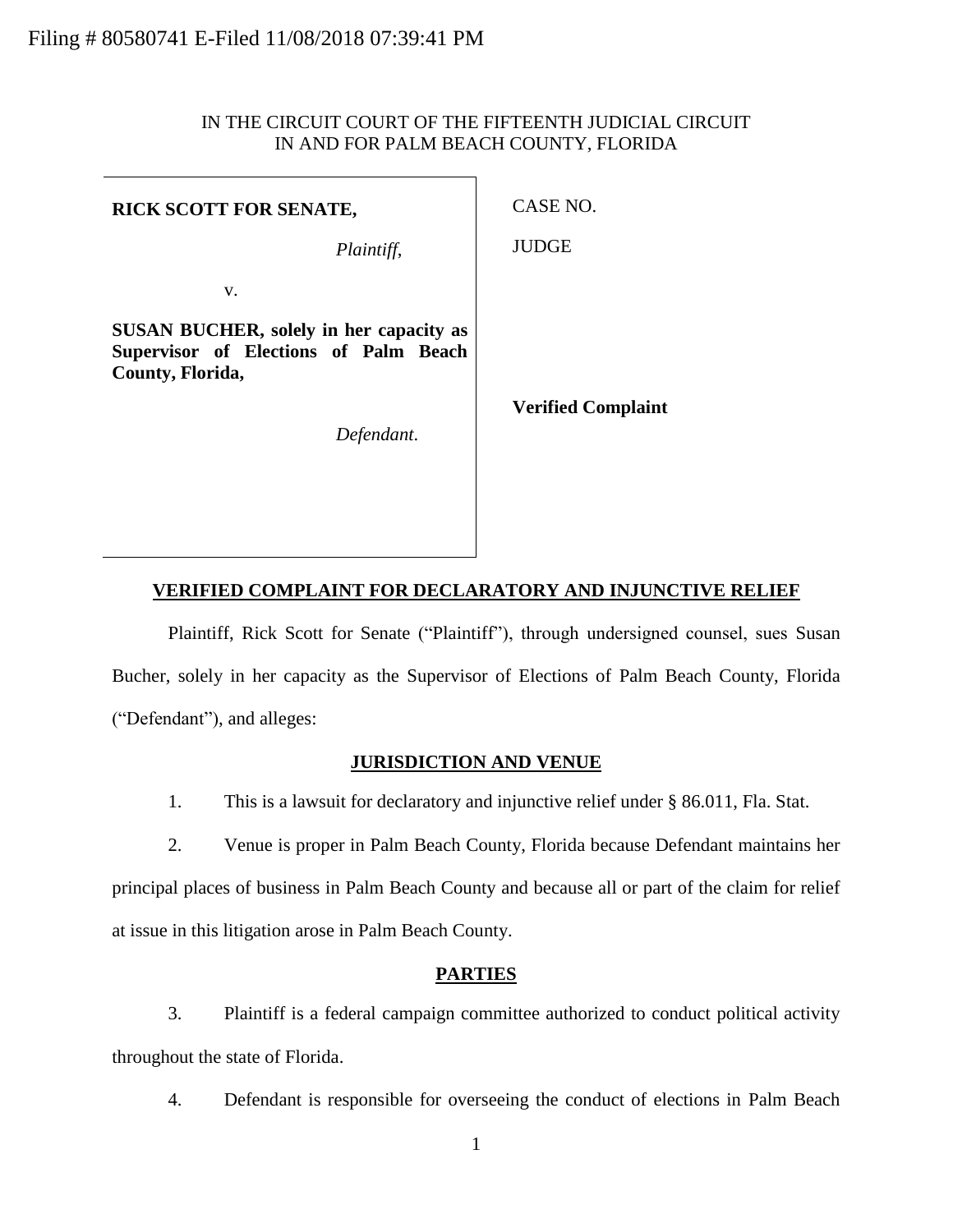# IN THE CIRCUIT COURT OF THE FIFTEENTH JUDICIAL CIRCUIT IN AND FOR PALM BEACH COUNTY, FLORIDA

٦

| <b>RICK SCOTT FOR SENATE,</b>                                                                               | CASE NO.                  |
|-------------------------------------------------------------------------------------------------------------|---------------------------|
| Plaintiff,                                                                                                  | <b>JUDGE</b>              |
| V.                                                                                                          |                           |
| <b>SUSAN BUCHER, solely in her capacity as</b><br>Supervisor of Elections of Palm Beach<br>County, Florida, |                           |
| Defendant.                                                                                                  | <b>Verified Complaint</b> |
|                                                                                                             |                           |

# **VERIFIED COMPLAINT FOR DECLARATORY AND INJUNCTIVE RELIEF**

Plaintiff, Rick Scott for Senate ("Plaintiff"), through undersigned counsel, sues Susan Bucher, solely in her capacity as the Supervisor of Elections of Palm Beach County, Florida ("Defendant"), and alleges:

# **JURISDICTION AND VENUE**

1. This is a lawsuit for declaratory and injunctive relief under § 86.011, Fla. Stat.

2. Venue is proper in Palm Beach County, Florida because Defendant maintains her principal places of business in Palm Beach County and because all or part of the claim for relief at issue in this litigation arose in Palm Beach County.

## **PARTIES**

3. Plaintiff is a federal campaign committee authorized to conduct political activity throughout the state of Florida.

4. Defendant is responsible for overseeing the conduct of elections in Palm Beach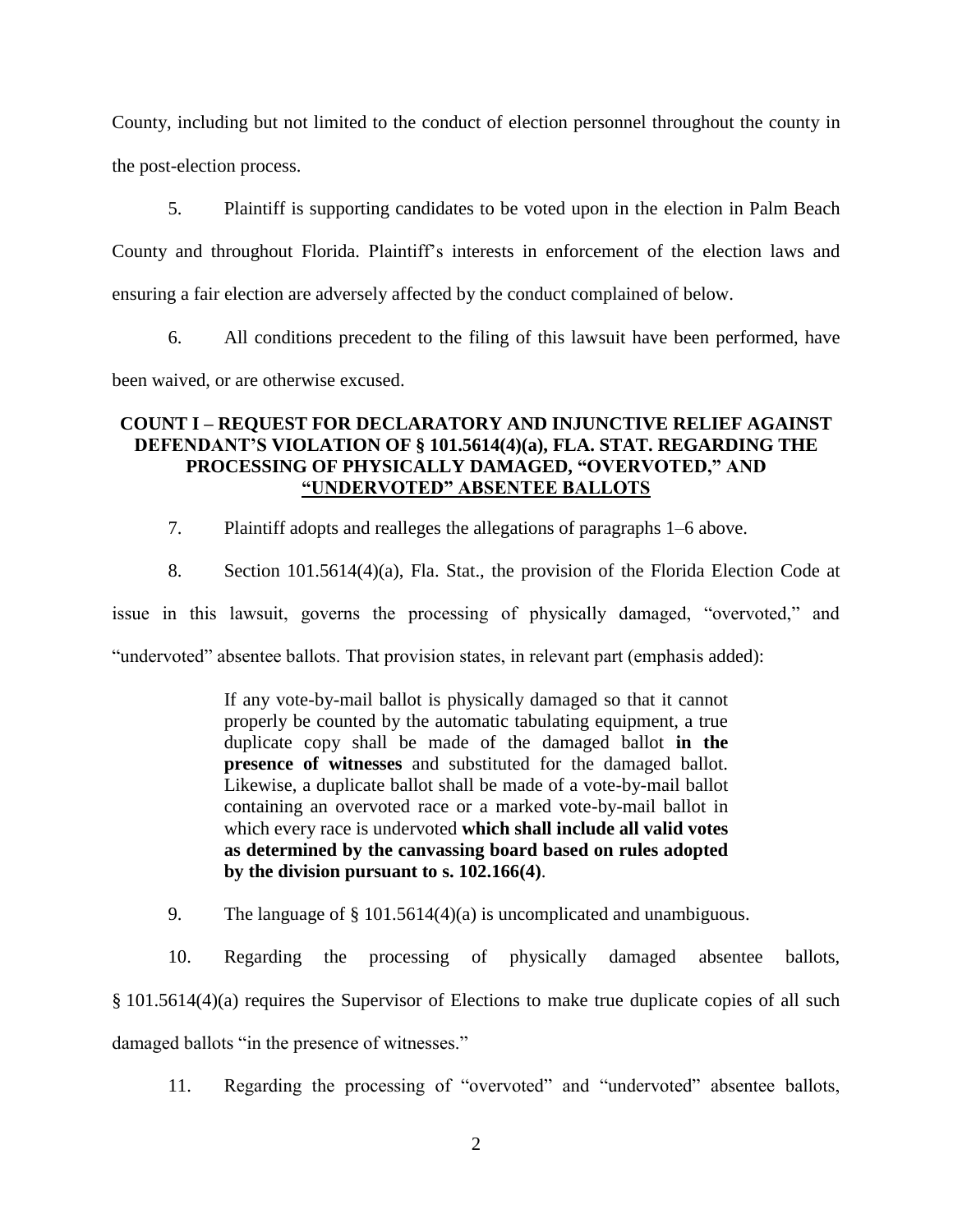County, including but not limited to the conduct of election personnel throughout the county in the post-election process.

5. Plaintiff is supporting candidates to be voted upon in the election in Palm Beach County and throughout Florida. Plaintiff's interests in enforcement of the election laws and ensuring a fair election are adversely affected by the conduct complained of below.

6. All conditions precedent to the filing of this lawsuit have been performed, have

been waived, or are otherwise excused.

# **COUNT I – REQUEST FOR DECLARATORY AND INJUNCTIVE RELIEF AGAINST DEFENDANT'S VIOLATION OF § 101.5614(4)(a), FLA. STAT. REGARDING THE PROCESSING OF PHYSICALLY DAMAGED, "OVERVOTED," AND "UNDERVOTED" ABSENTEE BALLOTS**

7. Plaintiff adopts and realleges the allegations of paragraphs 1–6 above.

8. Section 101.5614(4)(a), Fla. Stat., the provision of the Florida Election Code at issue in this lawsuit, governs the processing of physically damaged, "overvoted," and "undervoted" absentee ballots. That provision states, in relevant part (emphasis added):

> If any vote-by-mail ballot is physically damaged so that it cannot properly be counted by the automatic tabulating equipment, a true duplicate copy shall be made of the damaged ballot **in the presence of witnesses** and substituted for the damaged ballot. Likewise, a duplicate ballot shall be made of a vote-by-mail ballot containing an overvoted race or a marked vote-by-mail ballot in which every race is undervoted **which shall include all valid votes as determined by the canvassing board based on rules adopted by the division pursuant to s. 102.166(4)**.

9. The language of § 101.5614(4)(a) is uncomplicated and unambiguous.

10. Regarding the processing of physically damaged absentee ballots, § 101.5614(4)(a) requires the Supervisor of Elections to make true duplicate copies of all such damaged ballots "in the presence of witnesses."

11. Regarding the processing of "overvoted" and "undervoted" absentee ballots,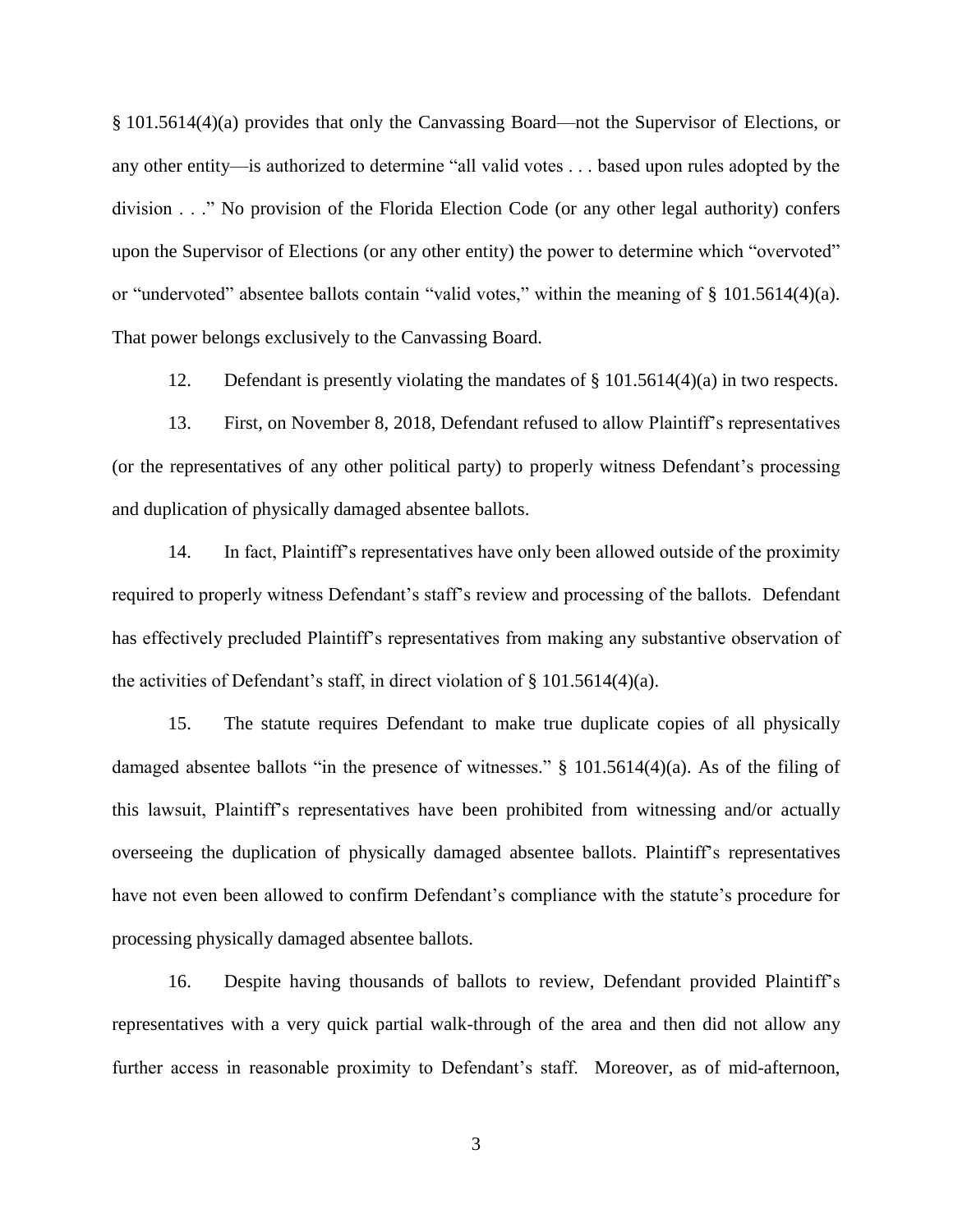§ 101.5614(4)(a) provides that only the Canvassing Board—not the Supervisor of Elections, or any other entity—is authorized to determine "all valid votes . . . based upon rules adopted by the division . . ." No provision of the Florida Election Code (or any other legal authority) confers upon the Supervisor of Elections (or any other entity) the power to determine which "overvoted" or "undervoted" absentee ballots contain "valid votes," within the meaning of § 101.5614(4)(a). That power belongs exclusively to the Canvassing Board.

12. Defendant is presently violating the mandates of § 101.5614(4)(a) in two respects.

13. First, on November 8, 2018, Defendant refused to allow Plaintiff's representatives (or the representatives of any other political party) to properly witness Defendant's processing and duplication of physically damaged absentee ballots.

14. In fact, Plaintiff's representatives have only been allowed outside of the proximity required to properly witness Defendant's staff's review and processing of the ballots. Defendant has effectively precluded Plaintiff's representatives from making any substantive observation of the activities of Defendant's staff, in direct violation of § 101.5614(4)(a).

15. The statute requires Defendant to make true duplicate copies of all physically damaged absentee ballots "in the presence of witnesses." § 101.5614(4)(a). As of the filing of this lawsuit, Plaintiff's representatives have been prohibited from witnessing and/or actually overseeing the duplication of physically damaged absentee ballots. Plaintiff's representatives have not even been allowed to confirm Defendant's compliance with the statute's procedure for processing physically damaged absentee ballots.

16. Despite having thousands of ballots to review, Defendant provided Plaintiff's representatives with a very quick partial walk-through of the area and then did not allow any further access in reasonable proximity to Defendant's staff. Moreover, as of mid-afternoon,

3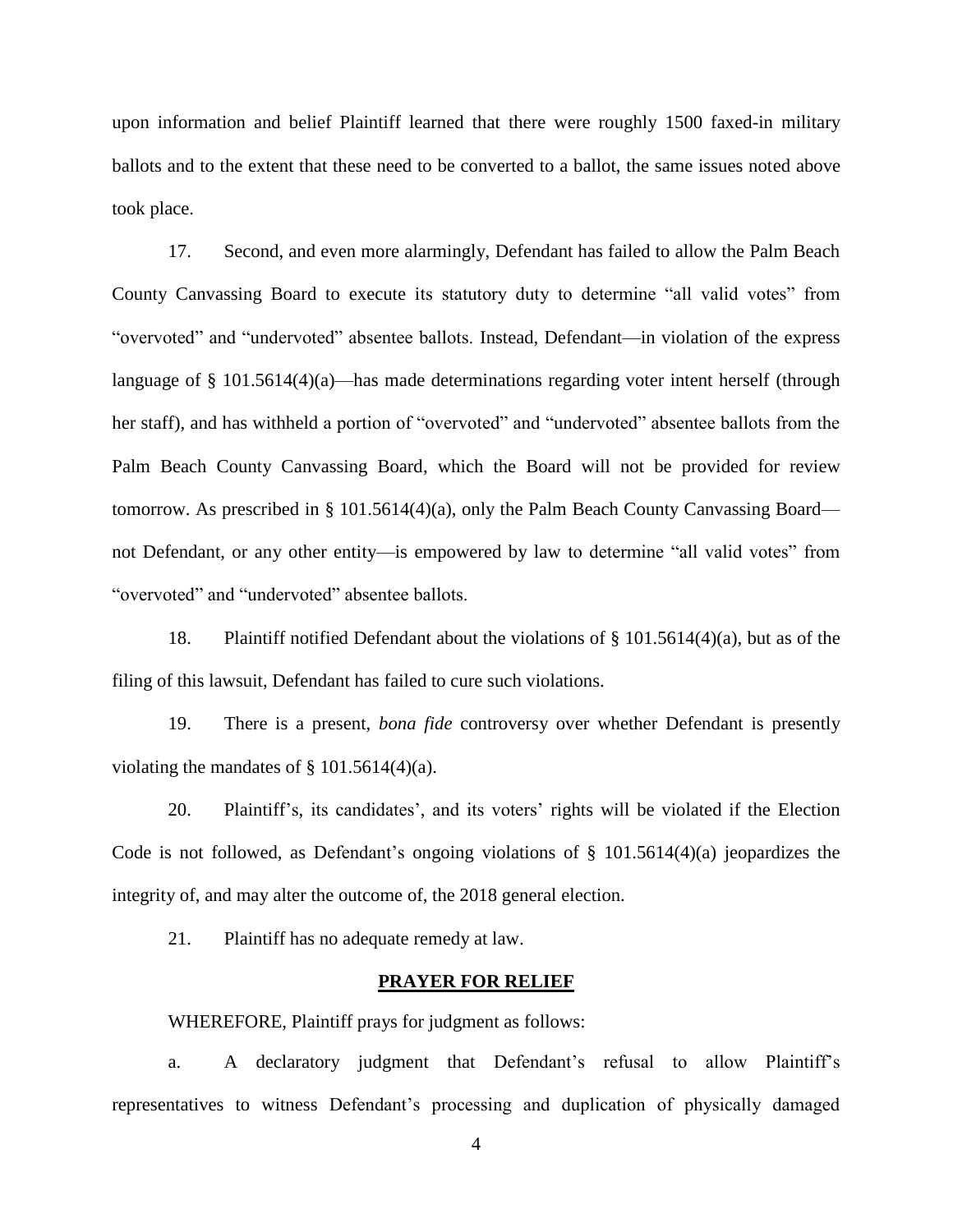upon information and belief Plaintiff learned that there were roughly 1500 faxed-in military ballots and to the extent that these need to be converted to a ballot, the same issues noted above took place.

17. Second, and even more alarmingly, Defendant has failed to allow the Palm Beach County Canvassing Board to execute its statutory duty to determine "all valid votes" from "overvoted" and "undervoted" absentee ballots. Instead, Defendant—in violation of the express language of § 101.5614(4)(a)—has made determinations regarding voter intent herself (through her staff), and has withheld a portion of "overvoted" and "undervoted" absentee ballots from the Palm Beach County Canvassing Board, which the Board will not be provided for review tomorrow. As prescribed in § 101.5614(4)(a), only the Palm Beach County Canvassing Board not Defendant, or any other entity—is empowered by law to determine "all valid votes" from "overvoted" and "undervoted" absentee ballots.

18. Plaintiff notified Defendant about the violations of § 101.5614(4)(a), but as of the filing of this lawsuit, Defendant has failed to cure such violations.

19. There is a present, *bona fide* controversy over whether Defendant is presently violating the mandates of  $\S$  101.5614(4)(a).

20. Plaintiff's, its candidates', and its voters' rights will be violated if the Election Code is not followed, as Defendant's ongoing violations of § 101.5614(4)(a) jeopardizes the integrity of, and may alter the outcome of, the 2018 general election.

21. Plaintiff has no adequate remedy at law.

### **PRAYER FOR RELIEF**

WHEREFORE, Plaintiff prays for judgment as follows:

a. A declaratory judgment that Defendant's refusal to allow Plaintiff's representatives to witness Defendant's processing and duplication of physically damaged

4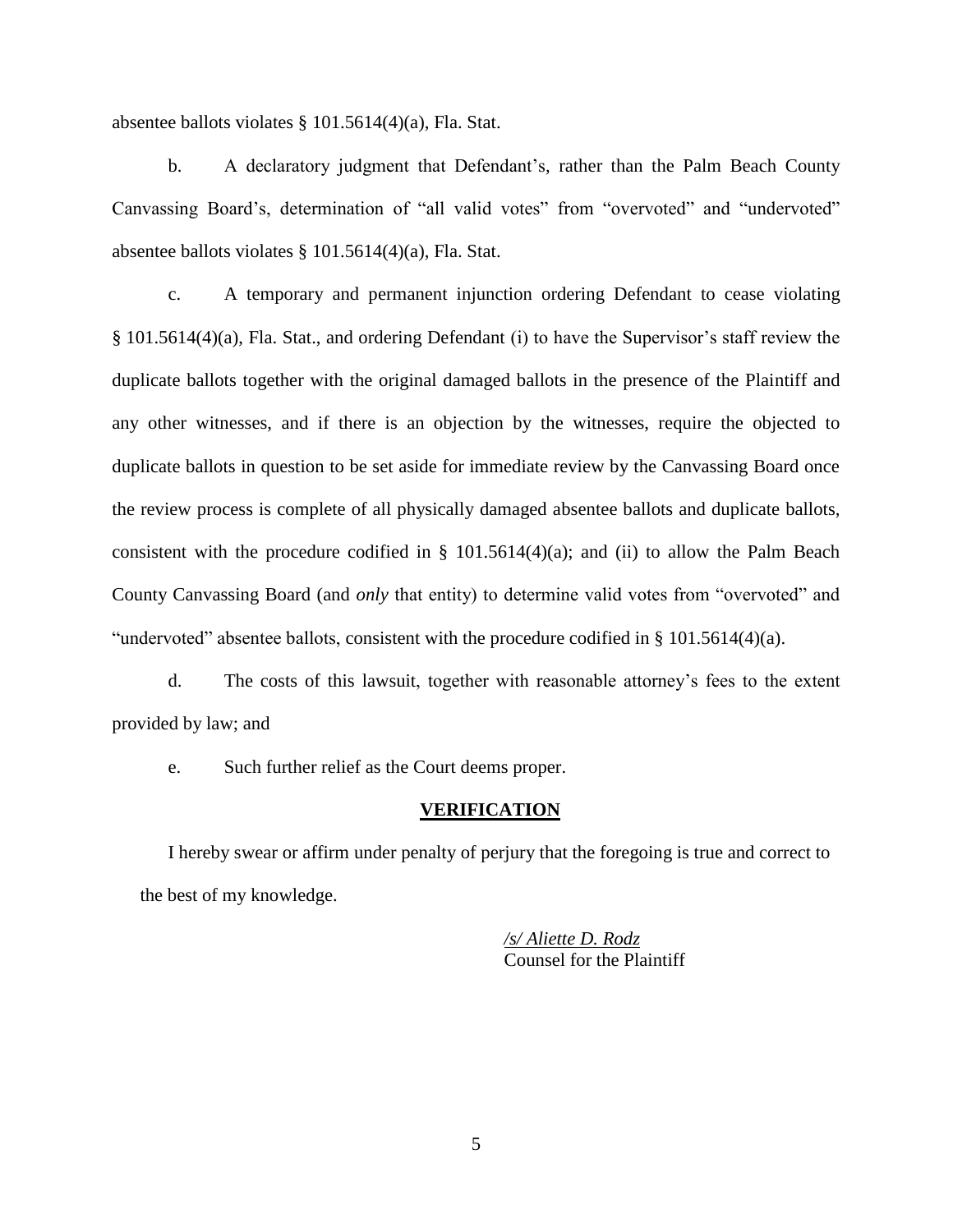absentee ballots violates § 101.5614(4)(a), Fla. Stat.

b. A declaratory judgment that Defendant's, rather than the Palm Beach County Canvassing Board's, determination of "all valid votes" from "overvoted" and "undervoted" absentee ballots violates § 101.5614(4)(a), Fla. Stat.

c. A temporary and permanent injunction ordering Defendant to cease violating § 101.5614(4)(a), Fla. Stat., and ordering Defendant (i) to have the Supervisor's staff review the duplicate ballots together with the original damaged ballots in the presence of the Plaintiff and any other witnesses, and if there is an objection by the witnesses, require the objected to duplicate ballots in question to be set aside for immediate review by the Canvassing Board once the review process is complete of all physically damaged absentee ballots and duplicate ballots, consistent with the procedure codified in  $\S$  101.5614(4)(a); and (ii) to allow the Palm Beach County Canvassing Board (and *only* that entity) to determine valid votes from "overvoted" and "undervoted" absentee ballots, consistent with the procedure codified in § 101.5614(4)(a).

d. The costs of this lawsuit, together with reasonable attorney's fees to the extent provided by law; and

e. Such further relief as the Court deems proper.

### **VERIFICATION**

I hereby swear or affirm under penalty of perjury that the foregoing is true and correct to the best of my knowledge.

> */s/ Aliette D. Rodz* Counsel for the Plaintiff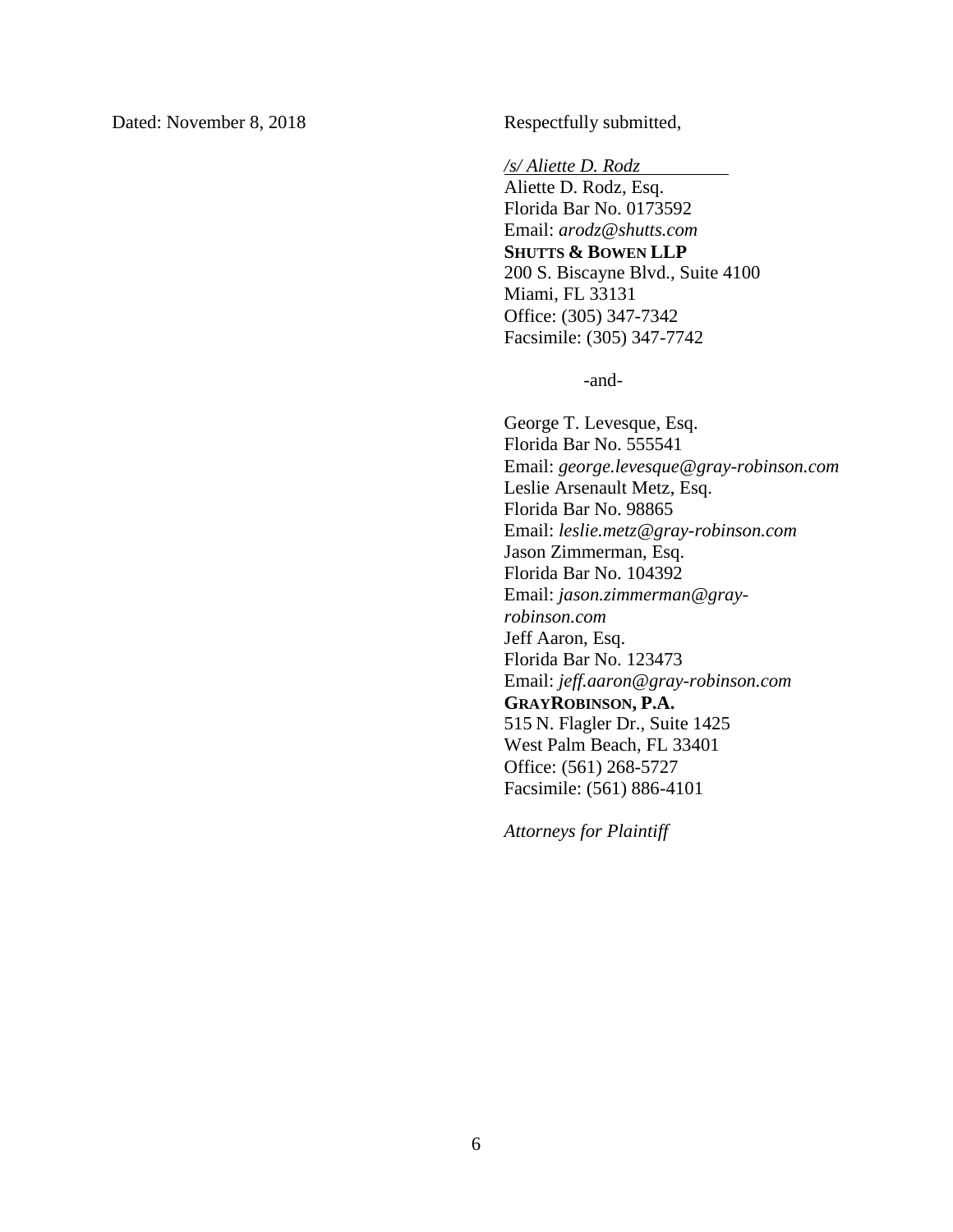*/s/ Aliette D. Rodz*

Aliette D. Rodz, Esq. Florida Bar No. 0173592 Email: *arodz@shutts.com* **SHUTTS & BOWEN LLP** 200 S. Biscayne Blvd., Suite 4100 Miami, FL 33131 Office: (305) 347-7342 Facsimile: (305) 347-7742

-and-

George T. Levesque, Esq. Florida Bar No. 555541 Email: *george.levesque@gray-robinson.com* Leslie Arsenault Metz, Esq. Florida Bar No. 98865 Email: *leslie.metz@gray-robinson.com* Jason Zimmerman, Esq. Florida Bar No. 104392 Email: *jason.zimmerman@grayrobinson.com* Jeff Aaron, Esq. Florida Bar No. 123473 Email: *jeff.aaron@gray-robinson.com* **GRAYROBINSON, P.A.** 515 N. Flagler Dr., Suite 1425 West Palm Beach, FL 33401 Office: (561) 268-5727 Facsimile: (561) 886-4101

*Attorneys for Plaintiff*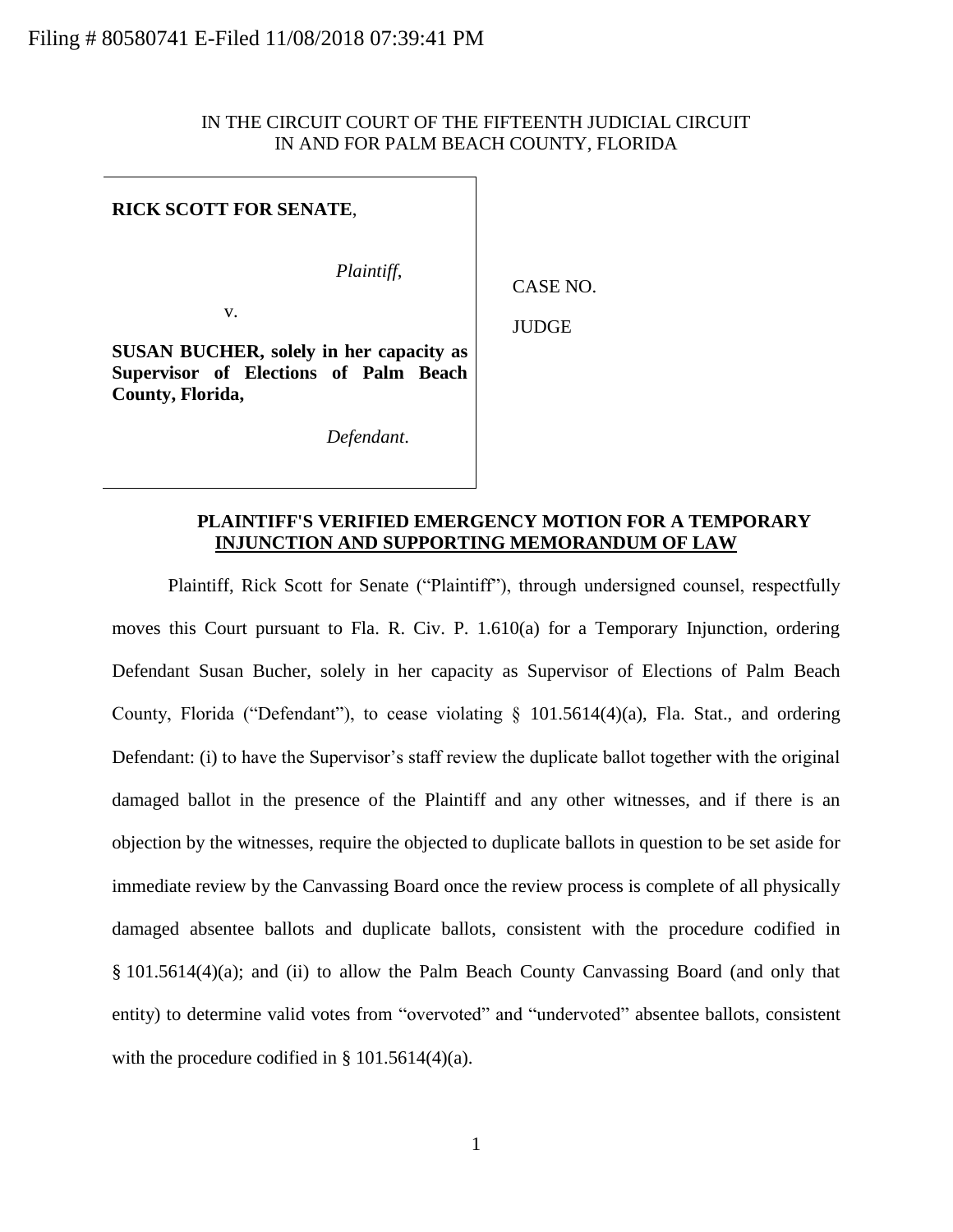# IN THE CIRCUIT COURT OF THE FIFTEENTH JUDICIAL CIRCUIT IN AND FOR PALM BEACH COUNTY, FLORIDA

### **RICK SCOTT FOR SENATE**,

*Plaintiff*,

v.

CASE NO.

JUDGE

**SUSAN BUCHER, solely in her capacity as Supervisor of Elections of Palm Beach County, Florida,** 

*Defendant*.

### **PLAINTIFF'S VERIFIED EMERGENCY MOTION FOR A TEMPORARY INJUNCTION AND SUPPORTING MEMORANDUM OF LAW**

Plaintiff, Rick Scott for Senate ("Plaintiff"), through undersigned counsel, respectfully moves this Court pursuant to Fla. R. Civ. P. 1.610(a) for a Temporary Injunction, ordering Defendant Susan Bucher, solely in her capacity as Supervisor of Elections of Palm Beach County, Florida ("Defendant"), to cease violating  $\S$  101.5614(4)(a), Fla. Stat., and ordering Defendant: (i) to have the Supervisor's staff review the duplicate ballot together with the original damaged ballot in the presence of the Plaintiff and any other witnesses, and if there is an objection by the witnesses, require the objected to duplicate ballots in question to be set aside for immediate review by the Canvassing Board once the review process is complete of all physically damaged absentee ballots and duplicate ballots, consistent with the procedure codified in § 101.5614(4)(a); and (ii) to allow the Palm Beach County Canvassing Board (and only that entity) to determine valid votes from "overvoted" and "undervoted" absentee ballots, consistent with the procedure codified in § 101.5614(4)(a).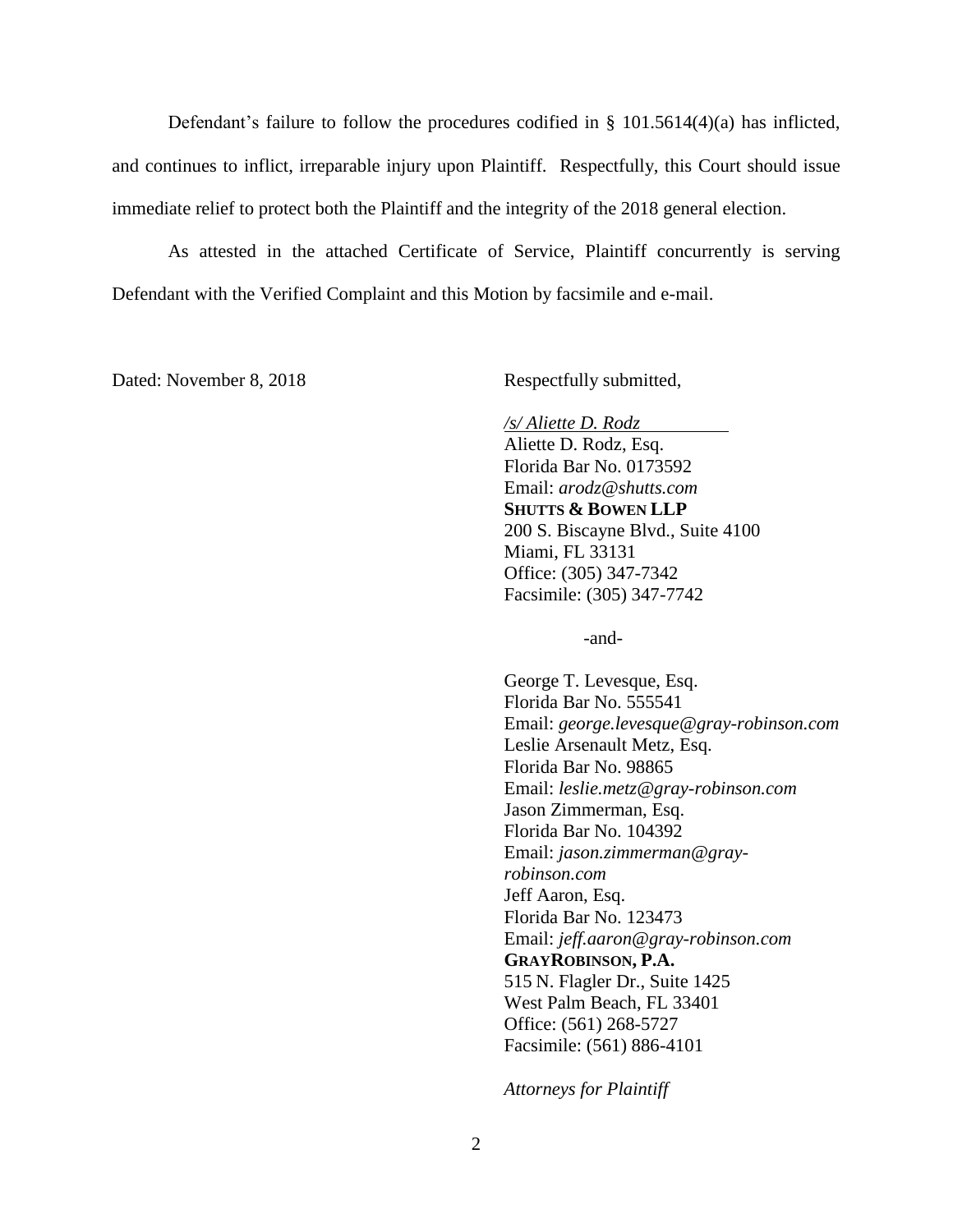Defendant's failure to follow the procedures codified in  $\S$  101.5614(4)(a) has inflicted, and continues to inflict, irreparable injury upon Plaintiff. Respectfully, this Court should issue immediate relief to protect both the Plaintiff and the integrity of the 2018 general election.

As attested in the attached Certificate of Service, Plaintiff concurrently is serving Defendant with the Verified Complaint and this Motion by facsimile and e-mail.

Dated: November 8, 2018 Respectfully submitted,

*/s/ Aliette D. Rodz* Aliette D. Rodz, Esq. Florida Bar No. 0173592 Email: *arodz@shutts.com* **SHUTTS & BOWEN LLP** 200 S. Biscayne Blvd., Suite 4100 Miami, FL 33131 Office: (305) 347-7342 Facsimile: (305) 347-7742

-and-

George T. Levesque, Esq. Florida Bar No. 555541 Email: *george.levesque@gray-robinson.com* Leslie Arsenault Metz, Esq. Florida Bar No. 98865 Email: *leslie.metz@gray-robinson.com* Jason Zimmerman, Esq. Florida Bar No. 104392 Email: *jason.zimmerman@grayrobinson.com* Jeff Aaron, Esq. Florida Bar No. 123473 Email: *jeff.aaron@gray-robinson.com* **GRAYROBINSON, P.A.** 515 N. Flagler Dr., Suite 1425 West Palm Beach, FL 33401 Office: (561) 268-5727 Facsimile: (561) 886-4101

*Attorneys for Plaintiff*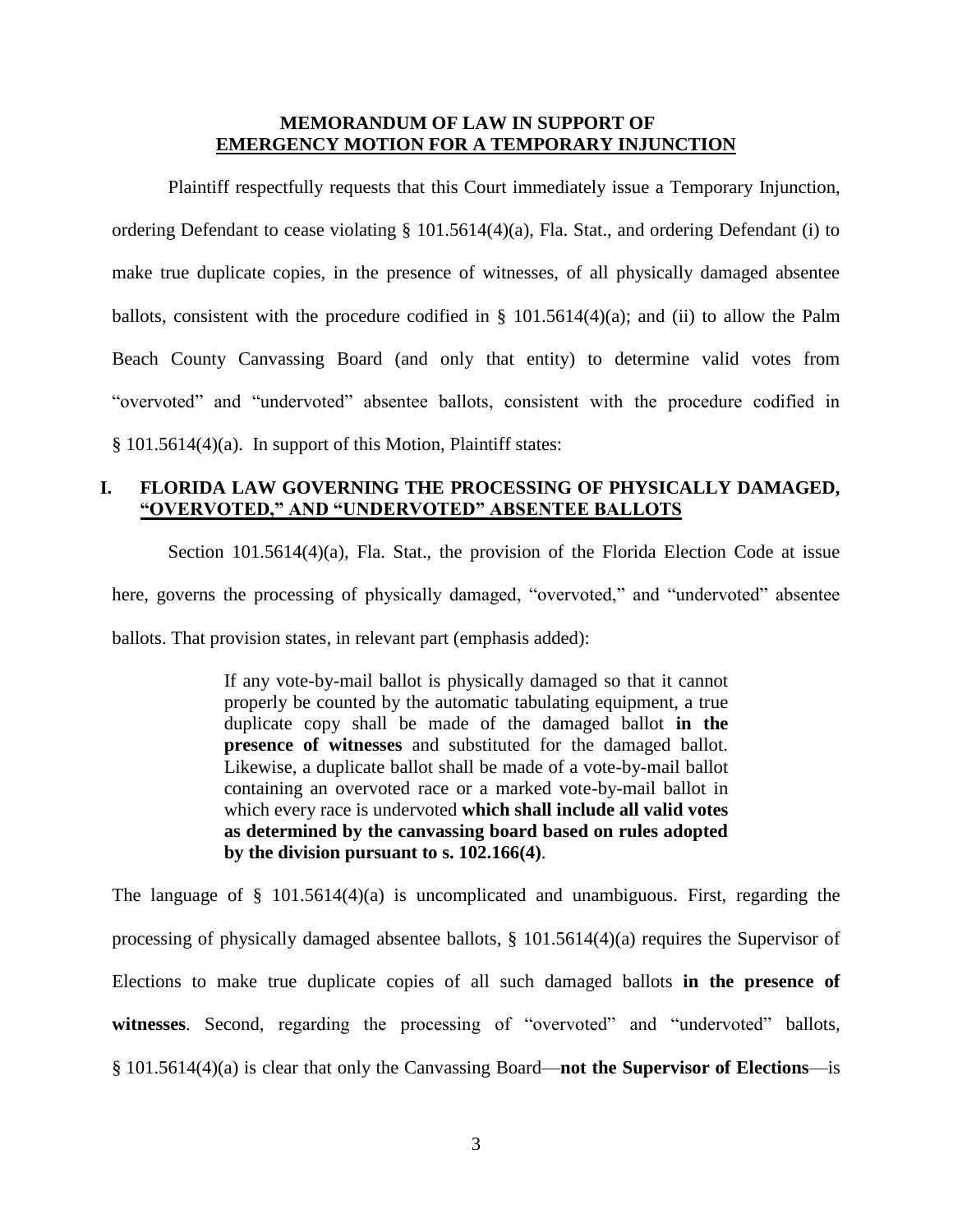### **MEMORANDUM OF LAW IN SUPPORT OF EMERGENCY MOTION FOR A TEMPORARY INJUNCTION**

Plaintiff respectfully requests that this Court immediately issue a Temporary Injunction, ordering Defendant to cease violating § 101.5614(4)(a), Fla. Stat., and ordering Defendant (i) to make true duplicate copies, in the presence of witnesses, of all physically damaged absentee ballots, consistent with the procedure codified in  $\S$  101.5614(4)(a); and (ii) to allow the Palm Beach County Canvassing Board (and only that entity) to determine valid votes from "overvoted" and "undervoted" absentee ballots, consistent with the procedure codified in § 101.5614(4)(a). In support of this Motion, Plaintiff states:

## **I. FLORIDA LAW GOVERNING THE PROCESSING OF PHYSICALLY DAMAGED, "OVERVOTED," AND "UNDERVOTED" ABSENTEE BALLOTS**

Section 101.5614(4)(a), Fla. Stat., the provision of the Florida Election Code at issue here, governs the processing of physically damaged, "overvoted," and "undervoted" absentee ballots. That provision states, in relevant part (emphasis added):

> If any vote-by-mail ballot is physically damaged so that it cannot properly be counted by the automatic tabulating equipment, a true duplicate copy shall be made of the damaged ballot **in the presence of witnesses** and substituted for the damaged ballot. Likewise, a duplicate ballot shall be made of a vote-by-mail ballot containing an overvoted race or a marked vote-by-mail ballot in which every race is undervoted **which shall include all valid votes as determined by the canvassing board based on rules adopted by the division pursuant to s. 102.166(4)**.

The language of § 101.5614(4)(a) is uncomplicated and unambiguous. First, regarding the processing of physically damaged absentee ballots, § 101.5614(4)(a) requires the Supervisor of Elections to make true duplicate copies of all such damaged ballots **in the presence of witnesses**. Second, regarding the processing of "overvoted" and "undervoted" ballots, § 101.5614(4)(a) is clear that only the Canvassing Board—**not the Supervisor of Elections**—is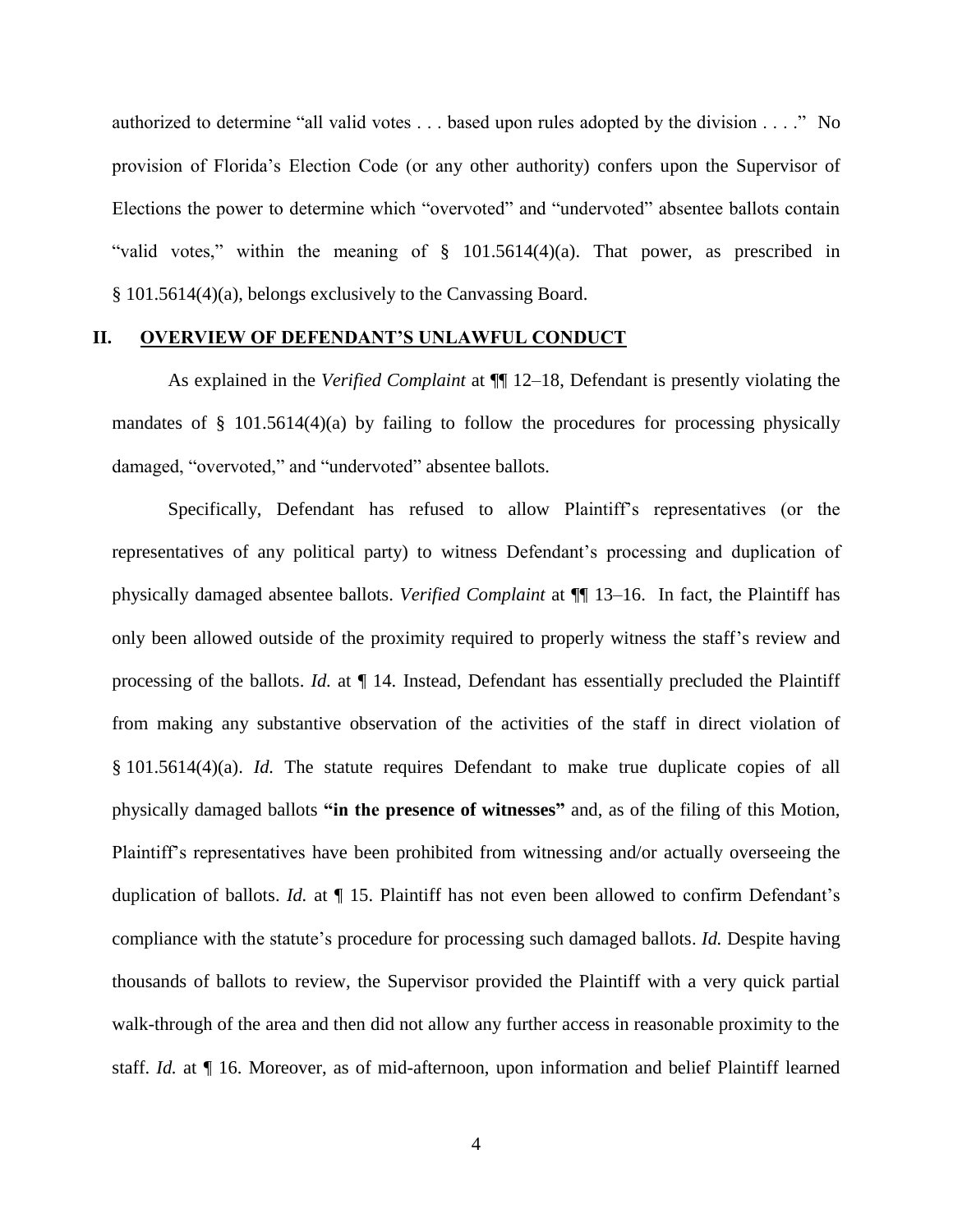authorized to determine "all valid votes . . . based upon rules adopted by the division . . . ." No provision of Florida's Election Code (or any other authority) confers upon the Supervisor of Elections the power to determine which "overvoted" and "undervoted" absentee ballots contain "valid votes," within the meaning of § 101.5614(4)(a). That power, as prescribed in § 101.5614(4)(a), belongs exclusively to the Canvassing Board.

### **II. OVERVIEW OF DEFENDANT'S UNLAWFUL CONDUCT**

As explained in the *Verified Complaint* at ¶¶ 12–18, Defendant is presently violating the mandates of  $\S$  101.5614(4)(a) by failing to follow the procedures for processing physically damaged, "overvoted," and "undervoted" absentee ballots.

Specifically, Defendant has refused to allow Plaintiff's representatives (or the representatives of any political party) to witness Defendant's processing and duplication of physically damaged absentee ballots. *Verified Complaint* at ¶¶ 13–16. In fact, the Plaintiff has only been allowed outside of the proximity required to properly witness the staff's review and processing of the ballots. *Id.* at ¶ 14. Instead, Defendant has essentially precluded the Plaintiff from making any substantive observation of the activities of the staff in direct violation of § 101.5614(4)(a). *Id.* The statute requires Defendant to make true duplicate copies of all physically damaged ballots **"in the presence of witnesses"** and, as of the filing of this Motion, Plaintiff's representatives have been prohibited from witnessing and/or actually overseeing the duplication of ballots. *Id.* at ¶ 15. Plaintiff has not even been allowed to confirm Defendant's compliance with the statute's procedure for processing such damaged ballots. *Id.* Despite having thousands of ballots to review, the Supervisor provided the Plaintiff with a very quick partial walk-through of the area and then did not allow any further access in reasonable proximity to the staff. *Id.* at ¶ 16. Moreover, as of mid-afternoon, upon information and belief Plaintiff learned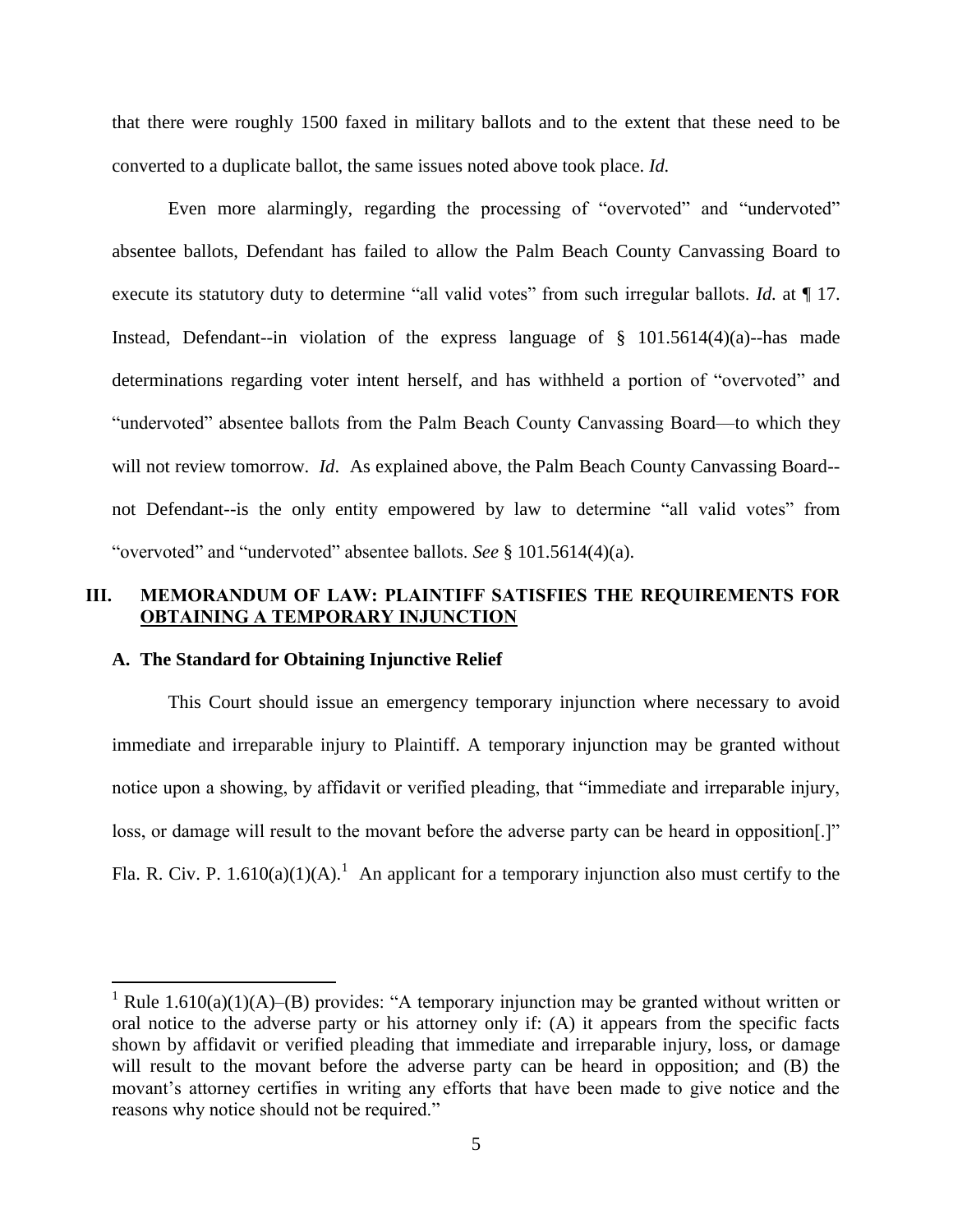that there were roughly 1500 faxed in military ballots and to the extent that these need to be converted to a duplicate ballot, the same issues noted above took place. *Id.*

Even more alarmingly, regarding the processing of "overvoted" and "undervoted" absentee ballots, Defendant has failed to allow the Palm Beach County Canvassing Board to execute its statutory duty to determine "all valid votes" from such irregular ballots. *Id.* at  $\P$  17. Instead, Defendant--in violation of the express language of  $\S$  101.5614(4)(a)--has made determinations regarding voter intent herself, and has withheld a portion of "overvoted" and "undervoted" absentee ballots from the Palm Beach County Canvassing Board—to which they will not review tomorrow. *Id*. As explained above, the Palm Beach County Canvassing Board- not Defendant--is the only entity empowered by law to determine "all valid votes" from "overvoted" and "undervoted" absentee ballots. *See* § 101.5614(4)(a).

## **III. MEMORANDUM OF LAW: PLAINTIFF SATISFIES THE REQUIREMENTS FOR OBTAINING A TEMPORARY INJUNCTION**

### **A. The Standard for Obtaining Injunctive Relief**

 $\overline{a}$ 

This Court should issue an emergency temporary injunction where necessary to avoid immediate and irreparable injury to Plaintiff. A temporary injunction may be granted without notice upon a showing, by affidavit or verified pleading, that "immediate and irreparable injury, loss, or damage will result to the movant before the adverse party can be heard in opposition.]" Fla. R. Civ. P. 1.610(a)(1)(A).<sup>1</sup> An applicant for a temporary injunction also must certify to the

<sup>&</sup>lt;sup>1</sup> Rule 1.610(a)(1)(A)–(B) provides: "A temporary injunction may be granted without written or oral notice to the adverse party or his attorney only if: (A) it appears from the specific facts shown by affidavit or verified pleading that immediate and irreparable injury, loss, or damage will result to the movant before the adverse party can be heard in opposition; and (B) the movant's attorney certifies in writing any efforts that have been made to give notice and the reasons why notice should not be required."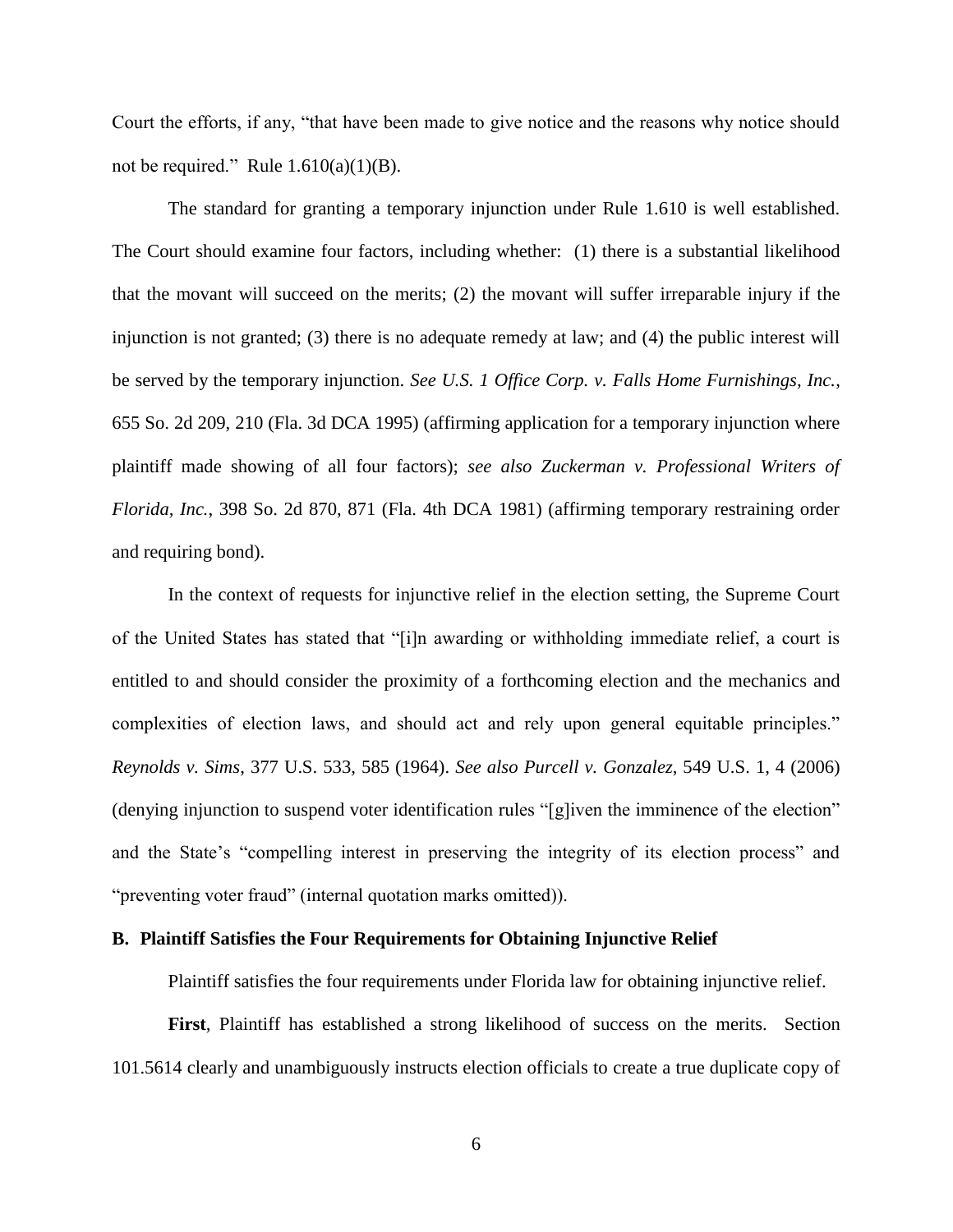Court the efforts, if any, "that have been made to give notice and the reasons why notice should not be required." Rule  $1.610(a)(1)(B)$ .

The standard for granting a temporary injunction under Rule 1.610 is well established. The Court should examine four factors, including whether: (1) there is a substantial likelihood that the movant will succeed on the merits; (2) the movant will suffer irreparable injury if the injunction is not granted; (3) there is no adequate remedy at law; and (4) the public interest will be served by the temporary injunction. *See U.S. 1 Office Corp. v. Falls Home Furnishings, Inc.*, 655 So. 2d 209, 210 (Fla. 3d DCA 1995) (affirming application for a temporary injunction where plaintiff made showing of all four factors); *see also Zuckerman v. Professional Writers of Florida, Inc.*, 398 So. 2d 870, 871 (Fla. 4th DCA 1981) (affirming temporary restraining order and requiring bond).

In the context of requests for injunctive relief in the election setting, the Supreme Court of the United States has stated that "[i]n awarding or withholding immediate relief, a court is entitled to and should consider the proximity of a forthcoming election and the mechanics and complexities of election laws, and should act and rely upon general equitable principles." *Reynolds v. Sims*, 377 U.S. 533, 585 (1964). *See also Purcell v. Gonzalez*, 549 U.S. 1, 4 (2006) (denying injunction to suspend voter identification rules "[g]iven the imminence of the election" and the State's "compelling interest in preserving the integrity of its election process" and "preventing voter fraud" (internal quotation marks omitted)).

### **B. Plaintiff Satisfies the Four Requirements for Obtaining Injunctive Relief**

Plaintiff satisfies the four requirements under Florida law for obtaining injunctive relief.

**First***,* Plaintiff has established a strong likelihood of success on the merits. Section 101.5614 clearly and unambiguously instructs election officials to create a true duplicate copy of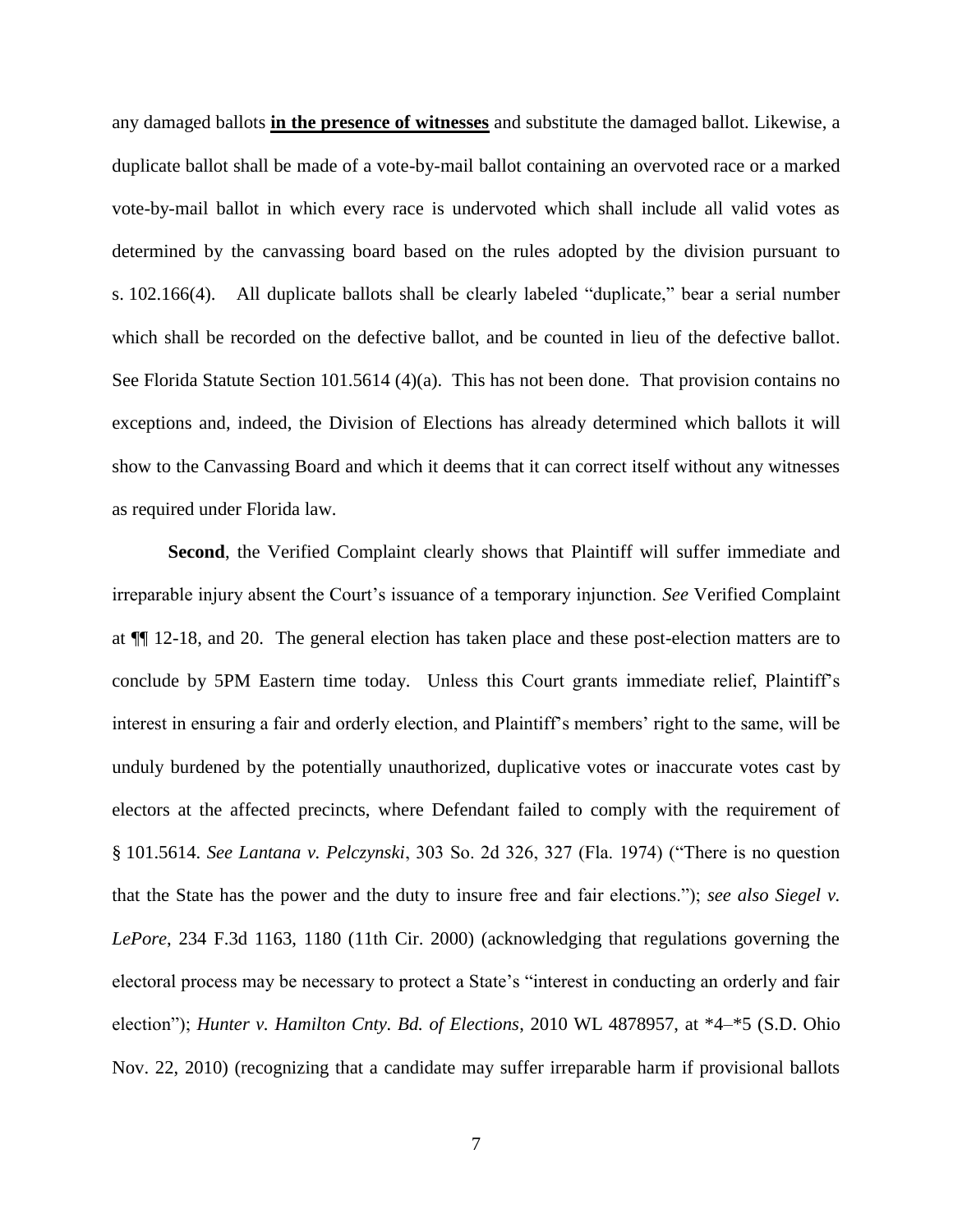any damaged ballots **in the presence of witnesses** and substitute the damaged ballot. Likewise, a duplicate ballot shall be made of a vote-by-mail ballot containing an overvoted race or a marked vote-by-mail ballot in which every race is undervoted which shall include all valid votes as determined by the canvassing board based on the rules adopted by the division pursuant to s. 102.166(4). All duplicate ballots shall be clearly labeled "duplicate," bear a serial number which shall be recorded on the defective ballot, and be counted in lieu of the defective ballot. See Florida Statute Section 101.5614 (4)(a). This has not been done. That provision contains no exceptions and, indeed, the Division of Elections has already determined which ballots it will show to the Canvassing Board and which it deems that it can correct itself without any witnesses as required under Florida law.

**Second**, the Verified Complaint clearly shows that Plaintiff will suffer immediate and irreparable injury absent the Court's issuance of a temporary injunction. *See* Verified Complaint at ¶¶ 12-18, and 20. The general election has taken place and these post-election matters are to conclude by 5PM Eastern time today. Unless this Court grants immediate relief, Plaintiff's interest in ensuring a fair and orderly election, and Plaintiff's members' right to the same, will be unduly burdened by the potentially unauthorized, duplicative votes or inaccurate votes cast by electors at the affected precincts, where Defendant failed to comply with the requirement of § 101.5614. *See Lantana v. Pelczynski*, 303 So. 2d 326, 327 (Fla. 1974) ("There is no question that the State has the power and the duty to insure free and fair elections."); *see also Siegel v. LePore*, 234 F.3d 1163, 1180 (11th Cir. 2000) (acknowledging that regulations governing the electoral process may be necessary to protect a State's "interest in conducting an orderly and fair election"); *Hunter v. Hamilton Cnty. Bd. of Elections*, 2010 WL 4878957, at \*4–\*5 (S.D. Ohio Nov. 22, 2010) (recognizing that a candidate may suffer irreparable harm if provisional ballots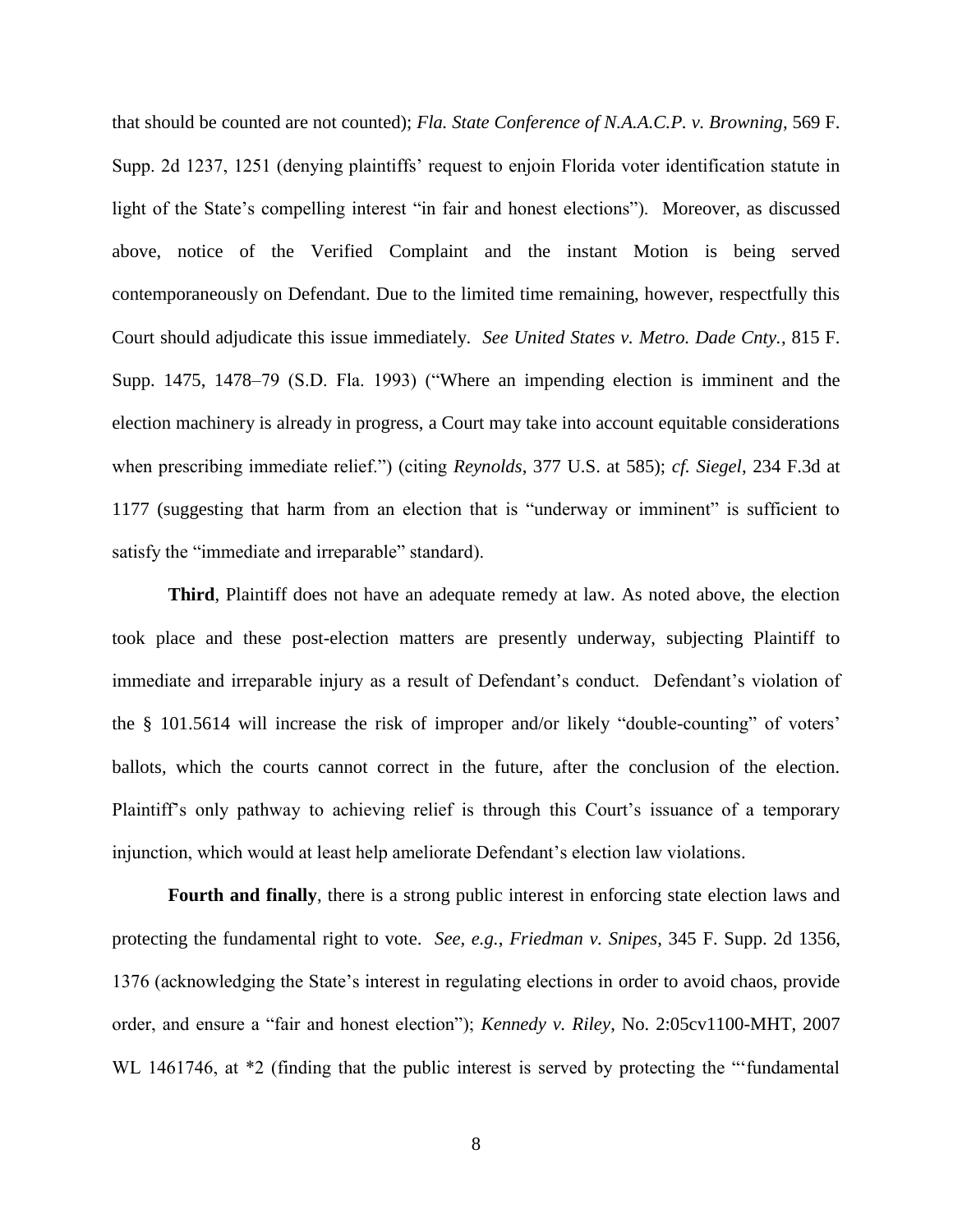that should be counted are not counted); *Fla. State Conference of N.A.A.C.P. v. Browning*, 569 F. Supp. 2d 1237, 1251 (denying plaintiffs' request to enjoin Florida voter identification statute in light of the State's compelling interest "in fair and honest elections"). Moreover, as discussed above, notice of the Verified Complaint and the instant Motion is being served contemporaneously on Defendant. Due to the limited time remaining, however, respectfully this Court should adjudicate this issue immediately. *See United States v. Metro. Dade Cnty.*, 815 F. Supp. 1475, 1478–79 (S.D. Fla. 1993) ("Where an impending election is imminent and the election machinery is already in progress, a Court may take into account equitable considerations when prescribing immediate relief.") (citing *Reynolds*, 377 U.S. at 585); *cf. Siegel*, 234 F.3d at 1177 (suggesting that harm from an election that is "underway or imminent" is sufficient to satisfy the "immediate and irreparable" standard).

**Third**, Plaintiff does not have an adequate remedy at law. As noted above, the election took place and these post-election matters are presently underway, subjecting Plaintiff to immediate and irreparable injury as a result of Defendant's conduct. Defendant's violation of the § 101.5614 will increase the risk of improper and/or likely "double-counting" of voters' ballots, which the courts cannot correct in the future, after the conclusion of the election. Plaintiff's only pathway to achieving relief is through this Court's issuance of a temporary injunction, which would at least help ameliorate Defendant's election law violations.

**Fourth and finally**, there is a strong public interest in enforcing state election laws and protecting the fundamental right to vote. *See, e.g.*, *Friedman v. Snipes*, 345 F. Supp. 2d 1356, 1376 (acknowledging the State's interest in regulating elections in order to avoid chaos, provide order, and ensure a "fair and honest election"); *Kennedy v. Riley*, No. 2:05cv1100-MHT, 2007 WL 1461746, at  $*2$  (finding that the public interest is served by protecting the "'fundamental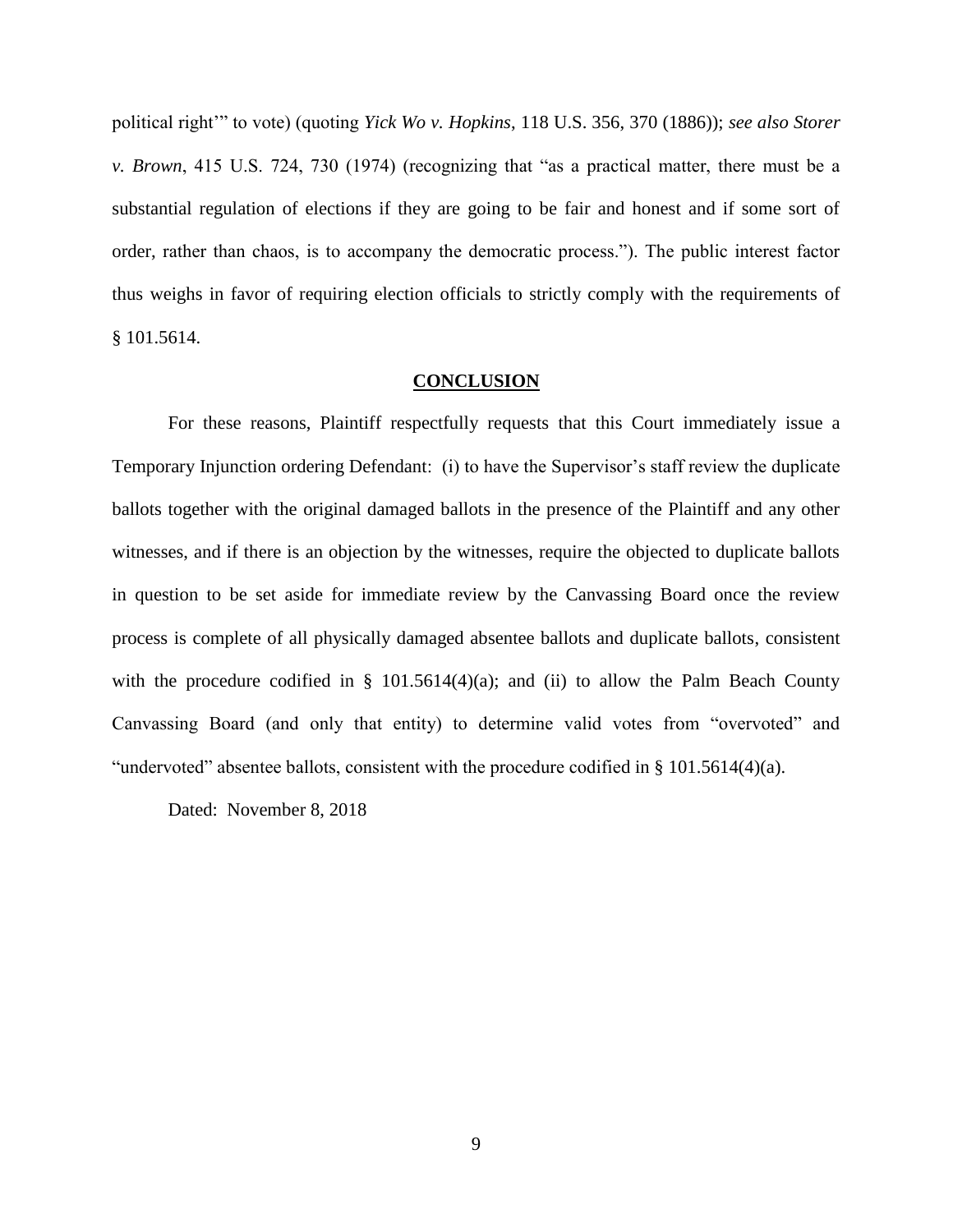political right'" to vote) (quoting *Yick Wo v. Hopkins*, 118 U.S. 356, 370 (1886)); *see also Storer v. Brown*, 415 U.S. 724, 730 (1974) (recognizing that "as a practical matter, there must be a substantial regulation of elections if they are going to be fair and honest and if some sort of order, rather than chaos, is to accompany the democratic process."). The public interest factor thus weighs in favor of requiring election officials to strictly comply with the requirements of § 101.5614.

#### **CONCLUSION**

For these reasons, Plaintiff respectfully requests that this Court immediately issue a Temporary Injunction ordering Defendant: (i) to have the Supervisor's staff review the duplicate ballots together with the original damaged ballots in the presence of the Plaintiff and any other witnesses, and if there is an objection by the witnesses, require the objected to duplicate ballots in question to be set aside for immediate review by the Canvassing Board once the review process is complete of all physically damaged absentee ballots and duplicate ballots, consistent with the procedure codified in § 101.5614(4)(a); and (ii) to allow the Palm Beach County Canvassing Board (and only that entity) to determine valid votes from "overvoted" and "undervoted" absentee ballots, consistent with the procedure codified in § 101.5614(4)(a).

Dated: November 8, 2018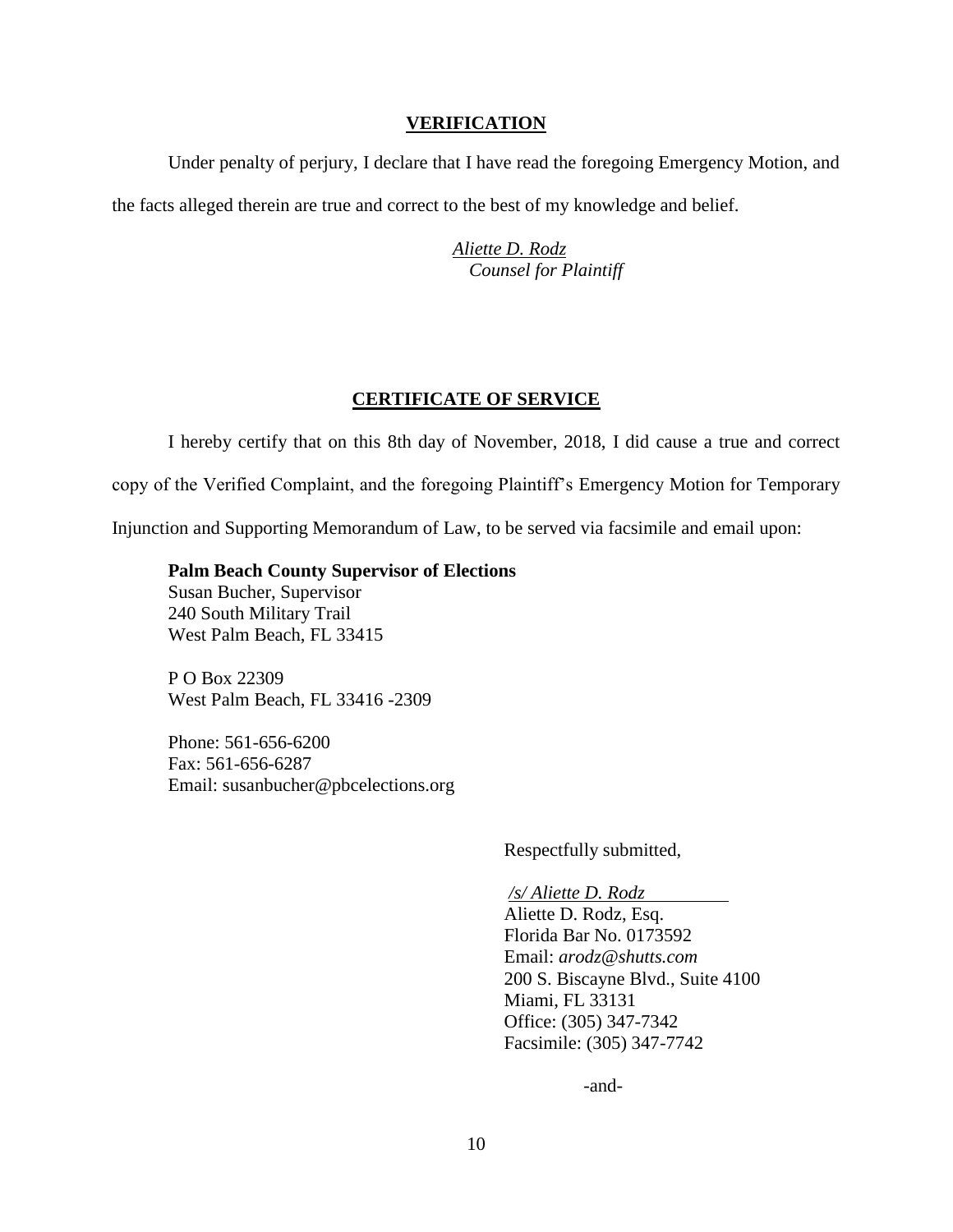### **VERIFICATION**

Under penalty of perjury, I declare that I have read the foregoing Emergency Motion, and the facts alleged therein are true and correct to the best of my knowledge and belief.

> *Aliette D. Rodz Counsel for Plaintiff*

### **CERTIFICATE OF SERVICE**

I hereby certify that on this 8th day of November, 2018, I did cause a true and correct copy of the Verified Complaint, and the foregoing Plaintiff's Emergency Motion for Temporary Injunction and Supporting Memorandum of Law, to be served via facsimile and email upon:

**Palm Beach County Supervisor of Elections** Susan Bucher, Supervisor 240 South Military Trail West Palm Beach, FL 33415

P O Box 22309 West Palm Beach, FL 33416 -2309

Phone: 561-656-6200 Fax: 561-656-6287 Email: susanbucher@pbcelections.org

Respectfully submitted,

*/s/ Aliette D. Rodz* Aliette D. Rodz, Esq. Florida Bar No. 0173592 Email: *arodz@shutts.com* 200 S. Biscayne Blvd., Suite 4100 Miami, FL 33131 Office: (305) 347-7342 Facsimile: (305) 347-7742

-and-